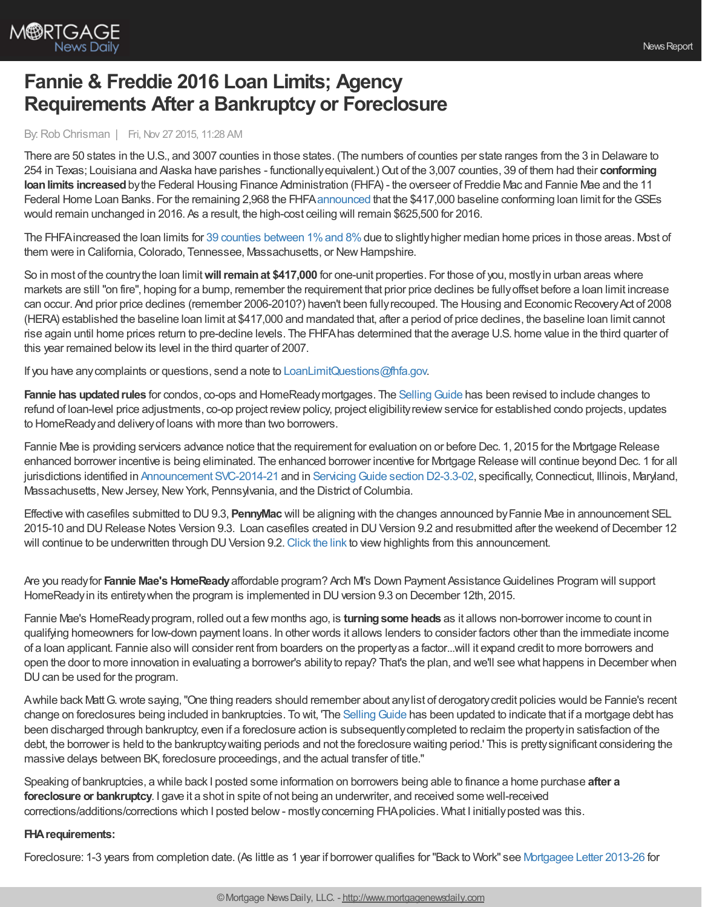

# **Fannie & Freddie 2016 Loan Limits; Agency Requirements After a Bankruptcy or Foreclosure**

#### By:Rob Chrisman | Fri, Nov 27 2015, 11:28 AM

There are 50 states in the U.S., and 3007 counties in those states. (The numbers of counties per state ranges from the 3 in Delaware to 254 in Texas; Louisiana and Alaska have parishes - functionallyequivalent.)Out of the 3,007 counties, 39 of them had their **conforming loanlimits increased**bythe Federal Housing Finance Administration (FHFA) - the overseer of Freddie Mac and Fannie Mae and the 11 Federal Home Loan Banks. For the remaining 2,968 the FHFA[announced](http://www.mortgagenewsdaily.com/11252015_loan_limit_changes.aspEstablished.aspx) that the \$417,000 baseline conforming loan limit for theGSEs would remain unchanged in 2016. As a result, the high-cost ceiling will remain \$625,500 for 2016.

The FHFA increased the loan limits for 39 counties [between](http://www.fhfa.gov/DataTools/Downloads/Documents/Conforming-Loan-Limits/Counties_with_increases_cy2016_Final.pdf) 1% and 8% due to slightly higher median home prices in those areas. Most of them were in California, Colorado, Tennessee, Massachusetts, or New Hampshire.

So in most of the countrythe loan limit**willremainat \$417,000** for one-unit properties. For those of you, mostlyin urban areas where markets are still "on fire", hoping for a bump, remember the requirement that prior price declines be fullyoffset before a loan limit increase can occur. And prior price declines (remember 2006-2010?) haven't been fully recouped. The Housing and Economic Recovery Act of 2008 (HERA) established the baseline loan limit at \$417,000 and mandated that, after a period of price declines, the baseline loan limit cannot rise again until home prices return to pre-decline levels. The FHFAhas determined that the average U.S. home value in the third quarter of this year remained belowits level in the third quarter of 2007.

If you have anycomplaints or questions, send a note to [LoanLimitQuestions@fhfa.gov](mailto:LoanLimitQuestions@fhfa.gov).

**Fannie has updated rules** for condos, co-ops and HomeReadymortgages. The Selling Guide has been revised to include changes to refund of loan-level price adjustments, co-op project reviewpolicy, project eligibilityreviewservice for established condo projects, updates to HomeReadyand deliveryof loans with more than two borrowers.

Fannie Mae is providing servicers advance notice that the requirement for evaluation on or before Dec. 1, 2015 for the Mortgage Release enhanced borrower incentive is being eliminated. The enhanced borrower incentive for Mortgage Release will continue beyond Dec. 1 for all jurisdictions identified in [Announcement](http://cl.exct.net/?qs=3602d44e855d3dd549791ac68ad48bdff73c3b3038560888676c4682f84683e0) SVC-2014-21 and in Servicing Guide section D2-3.3-02, specifically, Connecticut, Illinois, Maryland, Massachusetts, New Jersey, New York, Pennsylvania, and the District of Columbia.

Effective with casefiles submitted to DU9.3, **PennyMac** will be aligning with the changes announced byFannie Mae in announcement SEL 2015-10 and DU Release Notes Version 9.3. Loan casefiles created in DU Version 9.2 and resubmitted after the weekend of December 12 will continue to be underwritten through DU Version 9.2. [Click](http://www.gopennymac.com/announcements/15-56-fnma-sel-2015-10-and-du-release-notes-du-version-9-dot-3-and-rate-sheet-updates) the link to view highlights from this announcement.

Are you readyfor **Fannie Mae's HomeReady**affordable program? Arch MI's Down Payment AssistanceGuidelines Program will support HomeReady in its entirety when the program is implemented in DU version 9.3 on December 12th, 2015.

Fannie Mae's HomeReadyprogram, rolled out a few months ago, is **turningsome heads** as it allows non-borrower income to count in qualifying homeowners for low-down payment loans. In other words it allows lenders to consider factors other than the immediate income of a loan applicant. Fannie also will consider rent from boarders on the propertyas a factor...will it expand credit to more borrowers and open the door to more innovation in evaluating a borrower's abilityto repay? That's the plan, and we'll see what happens in December when DU can be used for the program.

Awhile back MattG.wrote saying,"One thing readers should remember about anylist of derogatorycredit policies would be Fannie's recent change on foreclosures being included in bankruptcies. To wit, 'The Selling Guide has been updated to indicate that if a mortgage debt has been discharged through bankruptcy, even if a foreclosure action is subsequentlycompleted to reclaim the propertyin satisfaction of the debt, the borrower is held to the bankruptcy waiting periods and not the foreclosure waiting period.' This is pretty significant considering the massive delays between BK, foreclosure proceedings, and the actual transfer of title."

Speaking of bankruptcies, a while back I posted some information on borrowers being able to finance a home purchase **after a foreclosure or bankruptcy**. I gave it a shot in spite of not being an underwriter, and received some well-received corrections/additions/corrections which I posted below- mostlyconcerning FHApolicies. What I initiallyposted was this.

### **FHArequirements:**

Foreclosure: 1-3 years from completion date. (As little as 1 year if borrower qualifies for "Back to Work" see [Mortgagee](http://portal.hud.gov/hudportal/documents/huddoc?id=13-26ml.pdf) Letter 2013-26 for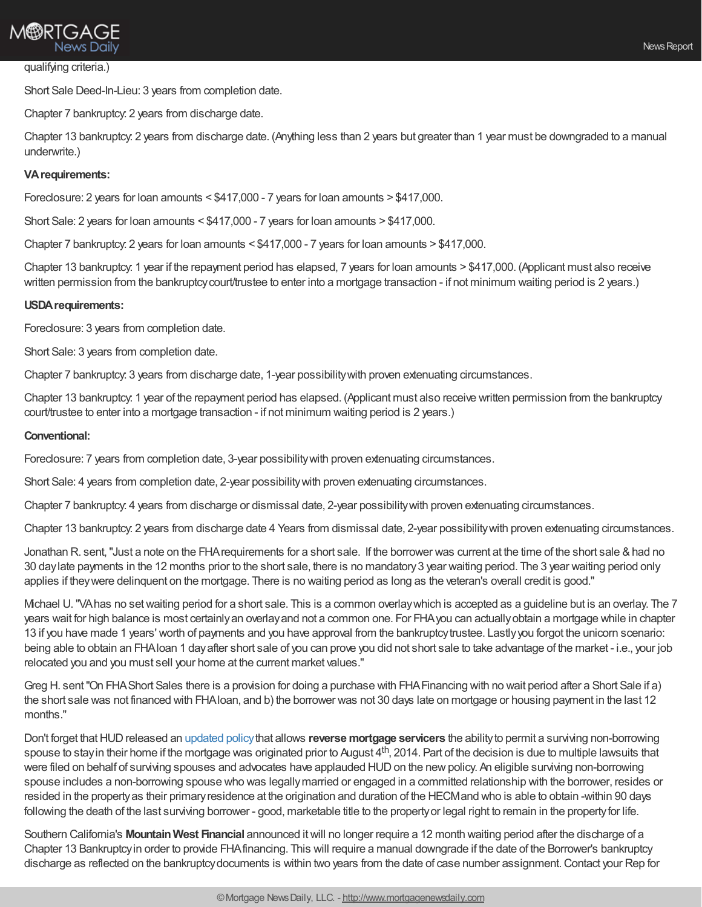## **M®RTGAGE** News Daily

#### qualifying criteria.)

Short Sale Deed-In-Lieu: 3 years from completion date.

Chapter 7 bankruptcy: 2 years from discharge date.

Chapter 13 bankruptcy: 2 years from discharge date. (Anything less than 2 years but greater than 1 year must be downgraded to a manual underwrite.)

#### **VArequirements:**

Foreclosure: 2 years for loan amounts < \$417,000 - 7 years for loan amounts > \$417,000.

Short Sale: 2 years for loan amounts < \$417,000 - 7 years for loan amounts > \$417,000.

Chapter 7 bankruptcy: 2 years for loan amounts < \$417,000 - 7 years for loan amounts > \$417,000.

Chapter 13 bankruptcy: 1 year if the repayment period has elapsed, 7 years for loan amounts > \$417,000. (Applicant must also receive written permission from the bankruptcy court/trustee to enter into a mortgage transaction - if not minimum waiting period is 2 years.)

#### **USDArequirements:**

Foreclosure: 3 years from completion date.

Short Sale: 3 years from completion date.

Chapter 7 bankruptcy: 3 years from discharge date, 1-year possibilitywith proven extenuating circumstances.

Chapter 13 bankruptcy: 1 year of the repayment period has elapsed. (Applicant must also receive written permission from the bankruptcy court/trustee to enter into a mortgage transaction - if not minimum waiting period is 2 years.)

#### **Conventional:**

Foreclosure: 7 years from completion date, 3-year possibilitywith proven extenuating circumstances.

Short Sale: 4 years from completion date, 2-year possibilitywith proven extenuating circumstances.

Chapter 7 bankruptcy: 4 years from discharge or dismissal date, 2-year possibilitywith proven extenuating circumstances.

Chapter 13 bankruptcy: 2 years from discharge date 4 Years from dismissal date, 2-year possibilitywith proven extenuating circumstances.

Jonathan R. sent,"Just a note on the FHArequirements for a short sale. If the borrower was current at the time of the short sale &had no 30 daylate payments in the 12 months prior to the short sale, there is no mandatory3 year waiting period. The 3 year waiting period only applies if theywere delinquent on the mortgage. There is no waiting period as long as the veteran's overall credit is good."

Michael U."VAhas no setwaiting period for a short sale. This is a common overlaywhich is accepted as a guideline but is an overlay. The 7 years wait for high balance is most certainlyan overlayand not a common one. For FHAyou can actuallyobtain a mortgage while in chapter 13 if you have made 1 years' worth of payments and you have approval from the bankruptcy trustee. Lastly you forgot the unicorn scenario: being able to obtain an FHAloan 1 dayafter short sale of you can prove you did not short sale to take advantage of the market - i.e., your job relocated you and you must sell your home at the current market values."

Greg H. sent"On FHAShort Sales there is a provision for doing a purchase with FHAFinancing with no wait period after a Short Sale if a) the short sale was not financed with FHAloan, and b) the borrower was not 30 days late on mortgage or housing payment in the last 12 months."

Don't forget thatHUDreleased an [updated](http://portal.hud.gov/hudportal/documents/huddoc?id=15-15ml.pdf) policythat allows **reverse mortgage servicers** the abilityto permit a surviving non-borrowing spouse to stay in their home if the mortgage was originated prior to August 4<sup>th</sup>, 2014. Part of the decision is due to multiple lawsuits that were filed on behalf of surviving spouses and advocates have applauded HUD on the new policy. An eligible surviving non-borrowing spouse includes a non-borrowing spouse who was legallymarried or engaged in a committed relationship with the borrower, resides or resided in the propertyas their primaryresidence at the origination and duration of the HECMand who is able to obtain -within 90 days following the death of the last surviving borrower - good, marketable title to the property or legal right to remain in the property for life.

Southern California's **MountainWest Financial** announced itwill no longer require a 12 month waiting period after the discharge of a Chapter 13 Bankruptcyin order to provide FHAfinancing. This will require a manual downgrade if the date of the Borrower's bankruptcy discharge as reflected on the bankruptcydocuments is within two years from the date of case number assignment.Contact your Rep for